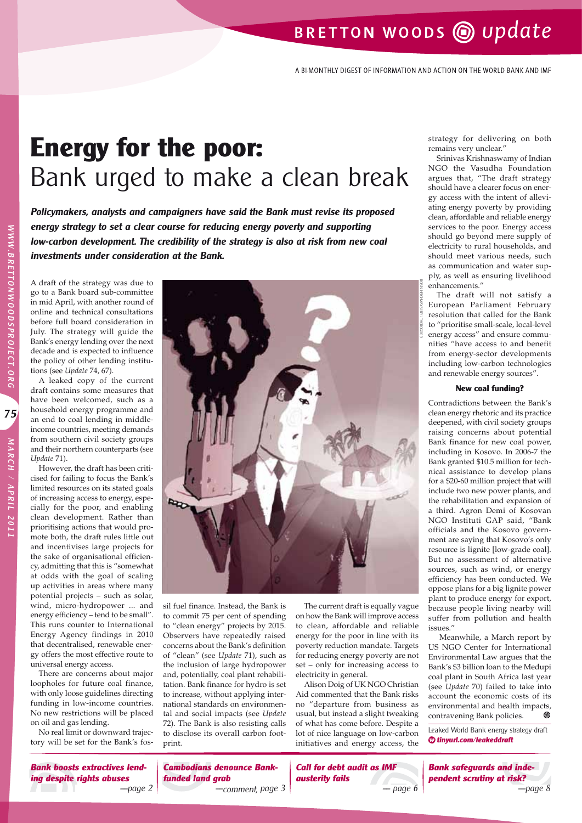## BRETTON WOODS @ update

A BI-MONTHLY DIGEST OF INFORMATION AND ACTION ON THE WORLD BANK AND IMF

# **Energy for the poor:**  Bank urged to make a clean break

**Policymakers, analysts and campaigners have said the Bank must revise its proposed energy strategy to set a clear course for reducing energy poverty and supporting low-carbon development. The credibility of the strategy is also at risk from new coal investments under consideration at the Bank.**

A draft of the strategy was due to go to a Bank board sub-committee in mid April, with another round of online and technical consultations before full board consideration in July. The strategy will guide the Bank's energy lending over the next decade and is expected to influence the policy of other lending institutions (see *Update* 74, 67).

A leaked copy of the current draft contains some measures that have been welcomed, such as a household energy programme and an end to coal lending in middleincome countries, meeting demands from southern civil society groups and their northern counterparts (see *Update* 71).

However, the draft has been criticised for failing to focus the Bank's limited resources on its stated goals of increasing access to energy, especially for the poor, and enabling clean development. Rather than prioritising actions that would promote both, the draft rules little out and incentivises large projects for the sake of organisational efficiency, admitting that this is "somewhat at odds with the goal of scaling up activities in areas where many potential projects – such as solar, wind, micro-hydropower ... and energy efficiency – tend to be small". This runs counter to International Energy Agency findings in 2010 that decentralised, renewable energy offers the most effective route to universal energy access.

There are concerns about major loopholes for future coal finance, with only loose guidelines directing funding in low-income countries. No new restrictions will be placed on oil and gas lending.

No real limit or downward trajectory will be set for the Bank's fos-

**Bank boosts extractives lending despite rights abuses**

**Cambodians denounce Bankfunded land grab** ––page 2 ––comment, page 3 –– page 6 ––page 8

print.

sil fuel finance. Instead, the Bank is to commit 75 per cent of spending to "clean energy" projects by 2015. Observers have repeatedly raised concerns about the Bank's definition of "clean" (see *Update* 71), such as the inclusion of large hydropower and, potentially, coal plant rehabilitation. Bank finance for hydro is set to increase, without applying international standards on environmental and social impacts (see *Update* 72). The Bank is also resisting calls to disclose its overall carbon foot-

The current draft is equally vague on how the Bank will improve access to clean, affordable and reliable energy for the poor in line with its poverty reduction mandate. Targets for reducing energy poverty are not set – only for increasing access to electricity in general.

Alison Doig of UK NGO Christian Aid commented that the Bank risks no "departure from business as usual, but instead a slight tweaking of what has come before. Despite a lot of nice language on low-carbon initiatives and energy access, the

**Call for debt audit as IMF** 

**austerity fails**

|                        |  | strategy for delivering on both |  |  |
|------------------------|--|---------------------------------|--|--|
| remains very unclear." |  |                                 |  |  |

Srinivas Krishnaswamy of Indian NGO the Vasudha Foundation argues that, "The draft strategy should have a clearer focus on energy access with the intent of alleviating energy poverty by providing clean, affordable and reliable energy services to the poor. Energy access should go beyond mere supply of electricity to rural households, and should meet various needs, such as communication and water supply, as well as ensuring livelihood enhancements."

The draft will not satisfy a European Parliament February resolution that called for the Bank to "prioritise small-scale, local-level energy access" and ensure communities "have access to and benefit from energy-sector developments including low-carbon technologies and renewable energy sources".

#### **New coal funding?**

Contradictions between the Bank's clean energy rhetoric and its practice deepened, with civil society groups raising concerns about potential Bank finance for new coal power, including in Kosovo. In 2006-7 the Bank granted \$10.5 million for technical assistance to develop plans for a \$20-60 million project that will include two new power plants, and the rehabilitation and expansion of a third. Agron Demi of Kosovan NGO Instituti GAP said, "Bank officials and the Kosovo government are saying that Kosovo's only resource is lignite [low-grade coal]. But no assessment of alternative sources, such as wind, or energy efficiency has been conducted. We oppose plans for a big lignite power plant to produce energy for export, because people living nearby will suffer from pollution and health issues."

Meanwhile, a March report by US NGO Center for International Environmental Law argues that the Bank's \$3 billion loan to the Medupi coal plant in South Africa last year (see *Update* 70) failed to take into account the economic costs of its environmental and health impacts, contravening Bank policies. ⋒

Leaked World Bank energy strategy draft **◊ tinyurl.com/leakeddraft**

**Bank safeguards and independent scrutiny at risk?**

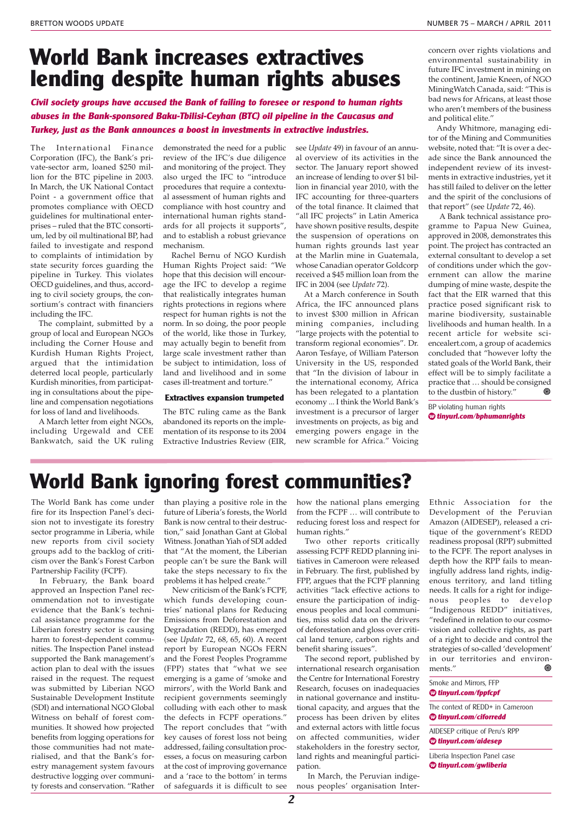## **World Bank increases extractives lending despite human rights abuses**

**Civil society groups have accused the Bank of failing to foresee or respond to human rights abuses in the Bank-sponsored Baku-Tbilisi-Ceyhan (BTC) oil pipeline in the Caucasus and Turkey, just as the Bank announces a boost in investments in extractive industries.**

The International Finance Corporation (IFC), the Bank's private-sector arm, loaned \$250 million for the BTC pipeline in 2003. In March, the UK National Contact Point - a government office that promotes compliance with OECD guidelines for multinational enterprises – ruled that the BTC consortium, led by oil multinational BP, had failed to investigate and respond to complaints of intimidation by state security forces guarding the pipeline in Turkey. This violates OECD guidelines, and thus, according to civil society groups, the consortium's contract with financiers including the IFC.

The complaint, submitted by a group of local and European NGOs including the Corner House and Kurdish Human Rights Project, argued that the intimidation deterred local people, particularly Kurdish minorities, from participating in consultations about the pipeline and compensation negotiations for loss of land and livelihoods.

A March letter from eight NGOs, including Urgewald and CEE Bankwatch, said the UK ruling demonstrated the need for a public review of the IFC's due diligence and monitoring of the project. They also urged the IFC to "introduce procedures that require a contextual assessment of human rights and compliance with host country and international human rights standards for all projects it supports", and to establish a robust grievance mechanism.

Rachel Bernu of NGO Kurdish Human Rights Project said: "We hope that this decision will encourage the IFC to develop a regime that realistically integrates human rights protections in regions where respect for human rights is not the norm. In so doing, the poor people of the world, like those in Turkey, may actually begin to benefit from large scale investment rather than be subject to intimidation, loss of land and livelihood and in some cases ill-treatment and torture."

#### **Extractives expansion trumpeted**

The BTC ruling came as the Bank abandoned its reports on the implementation of its response to its 2004 Extractive Industries Review (EIR, see *Update* 49) in favour of an annual overview of its activities in the sector. The January report showed an increase of lending to over \$1 billion in financial year 2010, with the IFC accounting for three-quarters of the total finance. It claimed that "all IFC projects" in Latin America have shown positive results, despite the suspension of operations on human rights grounds last year at the Marlin mine in Guatemala, whose Canadian operator Goldcorp received a \$45 million loan from the IFC in 2004 (see *Update* 72).

At a March conference in South Africa, the IFC announced plans to invest \$300 million in African mining companies, including "large projects with the potential to transform regional economies". Dr. Aaron Tesfaye, of William Paterson University in the US, responded that "In the division of labour in the international economy, Africa has been relegated to a plantation economy ... I think the World Bank's investment is a precursor of larger investments on projects, as big and emerging powers engage in the new scramble for Africa." Voicing concern over rights violations and environmental sustainability in future IFC investment in mining on the continent, Jamie Kneen, of NGO MiningWatch Canada, said: "This is bad news for Africans, at least those who aren't members of the business and political elite."

Andy Whitmore, managing editor of the Mining and Communities website, noted that: "It is over a decade since the Bank announced the independent review of its investments in extractive industries, yet it has still failed to deliver on the letter and the spirit of the conclusions of that report" (see *Update* 72, 46).

A Bank technical assistance programme to Papua New Guinea, approved in 2008, demonstrates this point. The project has contracted an external consultant to develop a set of conditions under which the government can allow the marine dumping of mine waste, despite the fact that the EIR warned that this practice posed significant risk to marine biodiversity, sustainable livelihoods and human health. In a recent article for website sciencealert.com, a group of academics concluded that "however lofty the stated goals of the World Bank, their effect will be to simply facilitate a practice that ... should be consigned<br>to the dust bin of history" to the dustbin of history."

BP violating human rights **◊ tinyurl.com/bphumanrights**

## **World Bank ignoring forest communities?**

The World Bank has come under fire for its Inspection Panel's decision not to investigate its forestry sector programme in Liberia, while new reports from civil society groups add to the backlog of criticism over the Bank's Forest Carbon Partnership Facility (FCPF).

In February, the Bank board approved an Inspection Panel recommendation not to investigate evidence that the Bank's technical assistance programme for the Liberian forestry sector is causing harm to forest-dependent communities. The Inspection Panel instead supported the Bank management's action plan to deal with the issues raised in the request. The request was submitted by Liberian NGO Sustainable Development Institute (SDI) and international NGO Global Witness on behalf of forest communities. It showed how projected benefits from logging operations for those communities had not materialised, and that the Bank's forestry management system favours destructive logging over community forests and conservation. "Rather than playing a positive role in the future of Liberia's forests, the World Bank is now central to their destruction," said Jonathan Gant at Global Witness. Jonathan Yiah of SDI added that "At the moment, the Liberian people can't be sure the Bank will take the steps necessary to fix the problems it has helped create."

New criticism of the Bank's FCPF, which funds developing countries' national plans for Reducing Emissions from Deforestation and Degradation (REDD), has emerged (see *Update* 72, 68, 65, 60). A recent report by European NGOs FERN and the Forest Peoples Programme (FPP) states that "what we see emerging is a game of 'smoke and mirrors', with the World Bank and recipient governments seemingly colluding with each other to mask the defects in FCPF operations." The report concludes that "with key causes of forest loss not being addressed, failing consultation processes, a focus on measuring carbon at the cost of improving governance and a 'race to the bottom' in terms of safeguards it is difficult to see

how the national plans emerging from the FCPF … will contribute to reducing forest loss and respect for human rights."

Two other reports critically assessing FCPF REDD planning initiatives in Cameroon were released in February. The first, published by FPP, argues that the FCPF planning activities "lack effective actions to ensure the participation of indigenous peoples and local communities, miss solid data on the drivers of deforestation and gloss over critical land tenure, carbon rights and benefit sharing issues".

The second report, published by international research organisation the Centre for International Forestry Research, focuses on inadequacies in national governance and institutional capacity, and argues that the process has been driven by elites and external actors with little focus on affected communities, wider stakeholders in the forestry sector, land rights and meaningful participation.

In March, the Peruvian indigenous peoples' organisation Inter-

Ethnic Association for the Development of the Peruvian Amazon (AIDESEP), released a critique of the government's REDD readiness proposal (RPP) submitted to the FCPF. The report analyses in depth how the RPP fails to meaningfully address land rights, indigenous territory, and land titling needs. It calls for a right for indigenous peoples to develop "Indigenous REDD" initiatives, "redefined in relation to our cosmovision and collective rights, as part of a right to decide and control the strategies of so-called 'development' in our territories and environments."  $^{\circ}$ 

Smoke and Mirrors, FFP **◊ tinyurl.com/fppfcpf**

The context of REDD+ in Cameroon **◊ tinyurl.com/ciforredd**

AIDESEP critique of Peru's RPP **◊ tinyurl.com/aidesep**

Liberia Inspection Panel case **◊ tinyurl.com/gwliberia**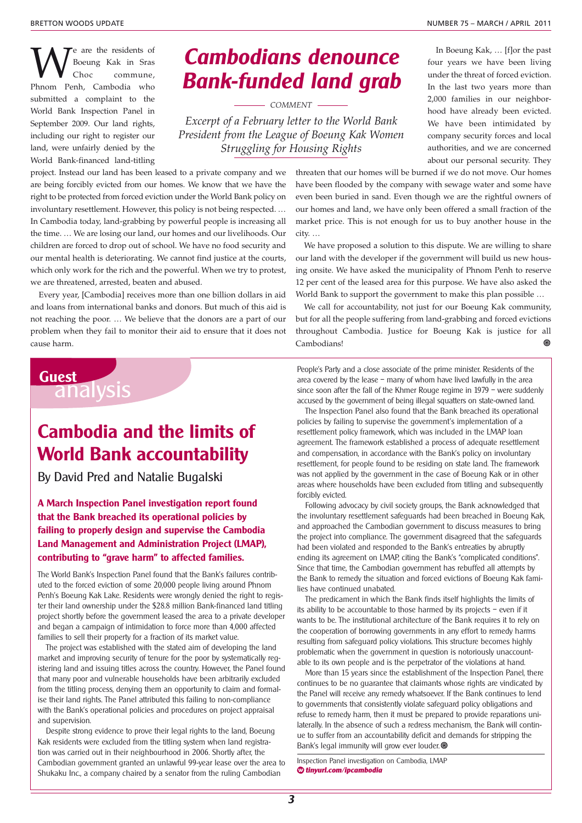We are the residents of<br>Boeung Kak in Sras<br>Phnom Poph Cambodia, who Boeung Kak in Sras Choc commune, Phnom Penh, Cambodia who submitted a complaint to the World Bank Inspection Panel in September 2009. Our land rights, including our right to register our land, were unfairly denied by the World Bank-financed land-titling

## **Cambodians denounce Bank-funded land grab**

*COMMENT*

*Excerpt of a February letter to the World Bank President from the League of Boeung Kak Women Struggling for Housing Rights*

project. Instead our land has been leased to a private company and we are being forcibly evicted from our homes. We know that we have the right to be protected from forced eviction under the World Bank policy on involuntary resettlement. However, this policy is not being respected. … In Cambodia today, land-grabbing by powerful people is increasing all the time. … We are losing our land, our homes and our livelihoods. Our children are forced to drop out of school. We have no food security and our mental health is deteriorating. We cannot find justice at the courts, which only work for the rich and the powerful. When we try to protest, we are threatened, arrested, beaten and abused.

Every year, [Cambodia] receives more than one billion dollars in aid and loans from international banks and donors. But much of this aid is not reaching the poor. … We believe that the donors are a part of our problem when they fail to monitor their aid to ensure that it does not cause harm.

In Boeung Kak, … [f]or the past four years we have been living under the threat of forced eviction. In the last two years more than 2,000 families in our neighborhood have already been evicted. We have been intimidated by company security forces and local authorities, and we are concerned about our personal security. They

threaten that our homes will be burned if we do not move. Our homes have been flooded by the company with sewage water and some have even been buried in sand. Even though we are the rightful owners of our homes and land, we have only been offered a small fraction of the market price. This is not enough for us to buy another house in the city. …

We have proposed a solution to this dispute. We are willing to share our land with the developer if the government will build us new housing onsite. We have asked the municipality of Phnom Penh to reserve 12 per cent of the leased area for this purpose. We have also asked the World Bank to support the government to make this plan possible …

We call for accountability, not just for our Boeung Kak community, but for all the people suffering from land-grabbing and forced evictions throughout Cambodia. Justice for Boeung Kak is justice for all Cambodians!

## **analysis Guest**

## **Cambodia and the limits of World Bank accountability**

By David Pred and Natalie Bugalski

### **A March Inspection Panel investigation report found that the Bank breached its operational policies by failing to properly design and supervise the Cambodia Land Management and Administration Project (LMAP), contributing to "grave harm" to affected families.**

The World Bank's Inspection Panel found that the Bank's failures contributed to the forced eviction of some 20,000 people living around Phnom Penh's Boeung Kak Lake. Residents were wrongly denied the right to register their land ownership under the \$28.8 million Bank-financed land titling project shortly before the government leased the area to a private developer and began a campaign of intimidation to force more than 4,000 affected families to sell their property for a fraction of its market value.

The project was established with the stated aim of developing the land market and improving security of tenure for the poor by systematically registering land and issuing titles across the country. However, the Panel found that many poor and vulnerable households have been arbitrarily excluded from the titling process, denying them an opportunity to claim and formalise their land rights. The Panel attributed this failing to non-compliance with the Bank's operational policies and procedures on project appraisal and supervision.

Despite strong evidence to prove their legal rights to the land, Boeung Kak residents were excluded from the titling system when land registration was carried out in their neighbourhood in 2006. Shortly after, the Cambodian government granted an unlawful 99-year lease over the area to Shukaku Inc., a company chaired by a senator from the ruling Cambodian

People's Party and a close associate of the prime minister. Residents of the area covered by the lease – many of whom have lived lawfully in the area since soon after the fall of the Khmer Rouge regime in 1979 - were suddenly accused by the government of being illegal squatters on state-owned land.

The Inspection Panel also found that the Bank breached its operational policies by failing to supervise the government's implementation of a resettlement policy framework, which was included in the LMAP loan agreement. The framework established a process of adequate resettlement and compensation, in accordance with the Bank's policy on involuntary resettlement, for people found to be residing on state land. The framework was not applied by the government in the case of Boeung Kak or in other areas where households have been excluded from titling and subsequently forcibly evicted.

Following advocacy by civil society groups, the Bank acknowledged that the involuntary resettlement safeguards had been breached in Boeung Kak, and approached the Cambodian government to discuss measures to bring the project into compliance. The government disagreed that the safeguards had been violated and responded to the Bank's entreaties by abruptly ending its agreement on LMAP, citing the Bank's "complicated conditions". Since that time, the Cambodian government has rebuffed all attempts by the Bank to remedy the situation and forced evictions of Boeung Kak families have continued unabated.

The predicament in which the Bank finds itself highlights the limits of its ability to be accountable to those harmed by its projects – even if it wants to be. The institutional architecture of the Bank requires it to rely on the cooperation of borrowing governments in any effort to remedy harms resulting from safeguard policy violations. This structure becomes highly problematic when the government in question is notoriously unaccountable to its own people and is the perpetrator of the violations at hand.

More than 15 years since the establishment of the Inspection Panel, there continues to be no guarantee that claimants whose rights are vindicated by the Panel will receive any remedy whatsoever. If the Bank continues to lend to governments that consistently violate safeguard policy obligations and refuse to remedy harm, then it must be prepared to provide reparations unilaterally. In the absence of such a redress mechanism, the Bank will continue to suffer from an accountability deficit and demands for stripping the Bank's legal immunity will grow ever louder.

Inspection Panel investigation on Cambodia, LMAP **◊ tinyurl.com/ipcambodia**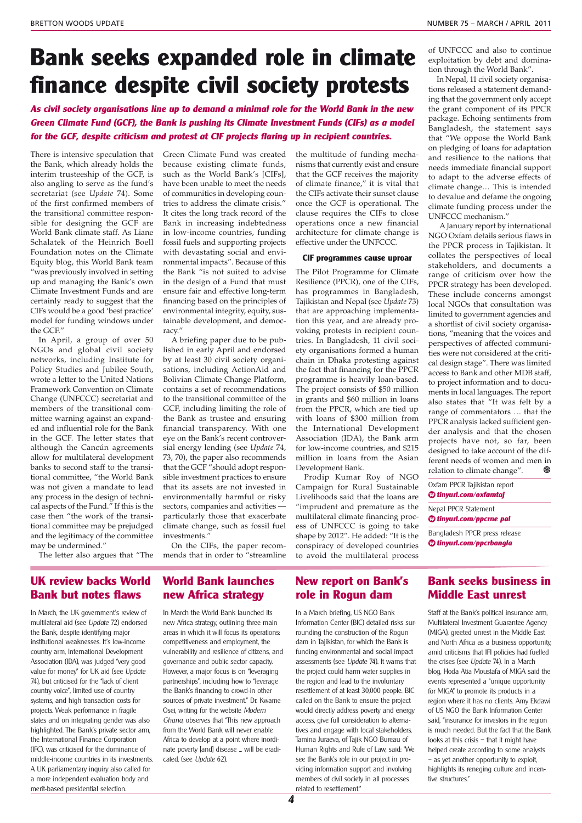# **Bank seeks expanded role in climate finance despite civil society protests**

**As civil society organisations line up to demand a minimal role for the World Bank in the new Green Climate Fund (GCF), the Bank is pushing its Climate Investment Funds (CIFs) as a model for the GCF, despite criticism and protest at CIF projects flaring up in recipient countries.**

There is intensive speculation that the Bank, which already holds the interim trusteeship of the GCF, is also angling to serve as the fund's secretariat (see *Update* 74). Some of the first confirmed members of the transitional committee responsible for designing the GCF are World Bank climate staff. As Liane Schalatek of the Heinrich Boell Foundation notes on the Climate Equity blog, this World Bank team "was previously involved in setting up and managing the Bank's own Climate Investment Funds and are certainly ready to suggest that the CIFs would be a good 'best practice' model for funding windows under the GCF."

In April, a group of over 50 NGOs and global civil society networks, including Institute for Policy Studies and Jubilee South, wrote a letter to the United Nations Framework Convention on Climate Change (UNFCCC) secretariat and members of the transitional committee warning against an expanded and influential role for the Bank in the GCF. The letter states that although the Cancún agreements allow for multilateral development banks to second staff to the transitional committee, "the World Bank was not given a mandate to lead any process in the design of technical aspects of the Fund." If this is the case then "the work of the transitional committee may be prejudged and the legitimacy of the committee may be undermined."

Green Climate Fund was created because existing climate funds, such as the World Bank's [CIFs], have been unable to meet the needs of communities in developing countries to address the climate crisis." It cites the long track record of the Bank in increasing indebtedness in low-income countries, funding fossil fuels and supporting projects with devastating social and environmental impacts". Because of this the Bank "is not suited to advise in the design of a Fund that must ensure fair and effective long-term financing based on the principles of environmental integrity, equity, sustainable development, and democracy."

A briefing paper due to be published in early April and endorsed by at least 30 civil society organisations, including ActionAid and Bolivian Climate Change Platform, contains a set of recommendations to the transitional committee of the GCF, including limiting the role of the Bank as trustee and ensuring financial transparency. With one eye on the Bank's recent controversial energy lending (see *Update* 74, 73, 70), the paper also recommends that the GCF "should adopt responsible investment practices to ensure that its assets are not invested in environmentally harmful or risky sectors, companies and activities particularly those that exacerbate climate change, such as fossil fuel investments."

On the CIFs, the paper recommends that in order to "streamline the multitude of funding mechanisms that currently exist and ensure that the GCF receives the majority of climate finance," it is vital that the CIFs activate their sunset clause once the GCF is operational. The clause requires the CIFs to close operations once a new financial architecture for climate change is effective under the UNFCCC.

#### **CIF programmes cause uproar**

The Pilot Programme for Climate Resilience (PPCR), one of the CIFs, has programmes in Bangladesh, Tajikistan and Nepal (see *Update* 73) that are approaching implementation this year, and are already provoking protests in recipient countries. In Bangladesh, 11 civil society organisations formed a human chain in Dhaka protesting against the fact that financing for the PPCR programme is heavily loan-based. The project consists of \$50 million in grants and \$60 million in loans from the PPCR, which are tied up with loans of \$300 million from the International Development Association (IDA), the Bank arm for low-income countries, and \$215 million in loans from the Asian Development Bank.

Prodip Kumar Roy of NGO Campaign for Rural Sustainable Livelihoods said that the loans are "imprudent and premature as the multilateral climate financing process of UNFCCC is going to take shape by 2012". He added: "It is the conspiracy of developed countries to avoid the multilateral process

of UNFCCC and also to continue exploitation by debt and domination through the World Bank". In Nepal, 11 civil society organisa-

tions released a statement demanding that the government only accept the grant component of its PPCR package. Echoing sentiments from Bangladesh, the statement says that "We oppose the World Bank on pledging of loans for adaptation and resilience to the nations that needs immediate financial support to adapt to the adverse effects of climate change… This is intended to devalue and defame the ongoing climate funding process under the UNFCCC mechanism."

A January report by international NGO Oxfam details serious flaws in the PPCR process in Tajikistan. It collates the perspectives of local stakeholders, and documents a range of criticism over how the PPCR strategy has been developed. These include concerns amongst local NGOs that consultation was limited to government agencies and a shortlist of civil society organisations, "meaning that the voices and perspectives of affected communities were not considered at the critical design stage". There was limited access to Bank and other MDB staff, to project information and to documents in local languages. The report also states that "It was felt by a range of commentators … that the PPCR analysis lacked sufficient gender analysis and that the chosen projects have not, so far, been designed to take account of the different needs of women and men in relation to climate change". ⋒

Oxfam PPCR Tajikistan report **◊ tinyurl.com/oxfamtaj**

Nepal PPCR Statement **◊ tinyurl.com/ppcrne pal** Bangladesh PPCR press release

**◊ tinyurl.com/ppcrbangla**

The letter also argues that "The

### **UK review backs World Bank but notes flaws**

In March, the UK government's review of multilateral aid (see Update 72) endorsed the Bank, despite identifying major institutional weaknesses. It's low-income country arm, International Development Association (IDA), was judged "very good value for money" for UK aid (see Update 74), but criticised for the "lack of client country voice", limited use of country systems, and high transaction costs for projects. Weak performance in fragile states and on integrating gender was also highlighted. The Bank's private sector arm, the International Finance Corporation (IFC), was criticised for the dominance of middle-income countries in its investments. A UK parliamentary inquiry also called for a more independent evaluation body and merit-based presidential selection.

### **World Bank launches new Africa strategy**

In March the World Bank launched its new Africa strategy, outlining three main areas in which it will focus its operations: competitiveness and employment, the vulnerability and resilience of citizens, and governance and public sector capacity. However, a major focus is on "leveraging partnerships", including how to "leverage the Bank's financing to crowd-in other sources of private investment." Dr. Kwame Osei, writing for the website Modern Ghana, observes that "This new approach from the World Bank will never enable Africa to develop at a point where inordinate poverty [and] disease ... will be eradicated. (see Update 62).

### **New report on Bank's role in Rogun dam**

In a March briefing, US NGO Bank Information Center (BIC) detailed risks surrounding the construction of the Rogun dam in Tajikistan, for which the Bank is funding environmental and social impact assessments (see Update 74). It warns that the project could harm water supplies in the region and lead to the involuntary resettlement of at least 30,000 people. BIC called on the Bank to ensure the project would directly address poverty and energy access, give full consideration to alternatives and engage with local stakeholders. Tamina Juraeva, of Tajik NGO Bureau of Human Rights and Rule of Law, said: "We see the Bank's role in our project in providing information support and involving members of civil society in all processes

## **Bank seeks business in Middle East unrest**

Staff at the Bank's political insurance arm, Multilateral Investment Guarantee Agency (MIGA), greeted unrest in the Middle East and North Africa as a business opportunity, amid criticisms that IFI policies had fuelled the crises (see Update 74). In a March blog, Hoda Atia Moustafa of MIGA said the events represented a "unique opportunity for MIGA" to promote its products in a region where it has no clients. Amy Ekdawi of US NGO the Bank Information Center said, "insurance for investors in the region is much needed. But the fact that the Bank looks at this crisis  $-$  that it might have helped create according to some analysts – as yet another opportunity to exploit, highlights its reneging culture and incentive structures"

related to resettlement."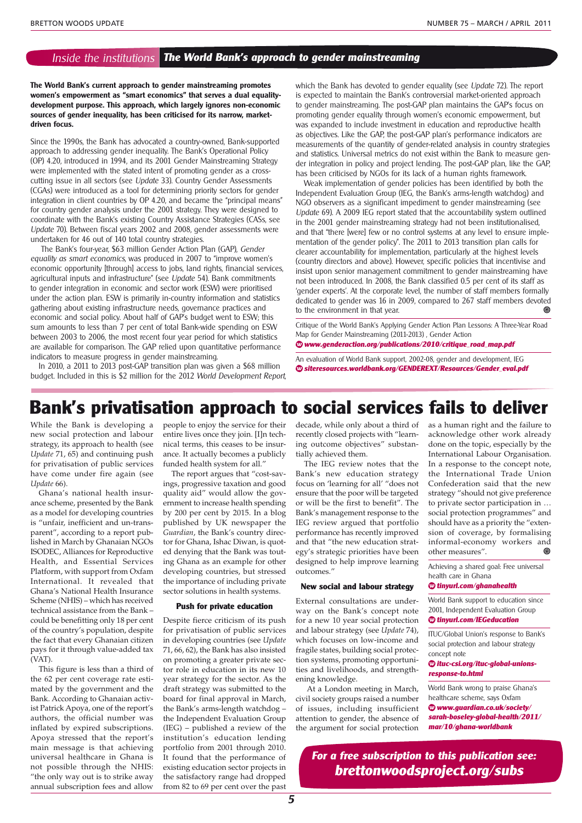#### **The World Bank's approach to gender mainstreaming** Inside the institutions

**The World Bank's current approach to gender mainstreaming promotes women's empowerment as "smart economics" that serves a dual equalitydevelopment purpose. This approach, which largely ignores non-economic sources of gender inequality, has been criticised for its narrow, marketdriven focus.**

Since the 1990s, the Bank has advocated a country-owned, Bank-supported approach to addressing gender inequality. The Bank's Operational Policy (OP) 4.20, introduced in 1994, and its 2001 Gender Mainstreaming Strategy were implemented with the stated intent of promoting gender as a crosscutting issue in all sectors (see Update 33). Country Gender Assessments (CGAs) were introduced as a tool for determining priority sectors for gender integration in client countries by OP 4.20, and became the "principal means" for country gender analysis under the 2001 strategy. They were designed to coordinate with the Bank's existing Country Assistance Strategies (CASs, see Update 70). Between fiscal years 2002 and 2008, gender assessments were undertaken for 46 out of 140 total country strategies.

 The Bank's four-year, \$63 million Gender Action Plan (GAP), Gender equality as smart economics, was produced in 2007 to "improve women's economic opportunity [through] access to jobs, land rights, financial services, agricultural inputs and infrastructure" (see Update 54). Bank commitments to gender integration in economic and sector work (ESW) were prioritised under the action plan. ESW is primarily in-country information and statistics gathering about existing infrastructure needs, governance practices and economic and social policy. About half of GAP's budget went to ESW; this sum amounts to less than 7 per cent of total Bank-wide spending on ESW between 2003 to 2006, the most recent four year period for which statistics are available for comparison. The GAP relied upon quantitative performance indicators to measure progress in gender mainstreaming.

which the Bank has devoted to gender equality (see Update 72). The report is expected to maintain the Bank's controversial market-oriented approach to gender mainstreaming. The post-GAP plan maintains the GAP's focus on promoting gender equality through women's economic empowerment, but was expanded to include investment in education and reproductive health as objectives. Like the GAP, the post-GAP plan's performance indicators are measurements of the quantity of gender-related analysis in country strategies and statistics. Universal metrics do not exist within the Bank to measure gender integration in policy and project lending. The post-GAP plan, like the GAP, has been criticised by NGOs for its lack of a human rights framework.

Weak implementation of gender policies has been identified by both the Independent Evaluation Group (IEG, the Bank's arms-length watchdog) and NGO observers as a significant impediment to gender mainstreaming (see Update 69). A 2009 IEG report stated that the accountability system outlined in the 2001 gender mainstreaming strategy had not been institutionalised, and that "there [were] few or no control systems at any level to ensure implementation of the gender policy". The 2011 to 2013 transition plan calls for clearer accountability for implementation, particularly at the highest levels (country directors and above). However, specific policies that incentivise and insist upon senior management commitment to gender mainstreaming have not been introduced. In 2008, the Bank classified 0.5 per cent of its staff as 'gender experts'. At the corporate level, the number of staff members formally dedicated to gender was 16 in 2009, compared to 267 staff members devoted to the environment in that year. ◉

Critique of the World Bank's Applying Gender Action Plan Lessons: A Three-Year Road Map for Gender Mainstreaming (2011-2013) , Gender Action

**◊ www.genderaction.org/publications/2010/critique\_road\_map.pdf**

An evaluation of World Bank support, 2002-08, gender and development, IEG **◊ siteresources.worldbank.org/GENDEREXT/Resources/Gender\_eval.pdf** 

In 2010, a 2011 to 2013 post-GAP transition plan was given a \$68 million budget. Included in this is \$2 million for the 2012 World Development Report,

## **Bank's privatisation approach to social services fails to deliver**

While the Bank is developing a new social protection and labour strategy, its approach to health (see *Update* 71, 65) and continuing push for privatisation of public services have come under fire again (see *Update* 66).

Ghana's national health insurance scheme, presented by the Bank as a model for developing countries is "unfair, inefficient and un-transparent", according to a report published in March by Ghanaian NGOs ISODEC, Alliances for Reproductive Health, and Essential Services Platform, with support from Oxfam International. It revealed that Ghana's National Health Insurance Scheme (NHIS) – which has received technical assistance from the Bank – could be benefitting only 18 per cent of the country's population, despite the fact that every Ghanaian citizen pays for it through value-added tax (VAT).

This figure is less than a third of the 62 per cent coverage rate estimated by the government and the Bank. According to Ghanaian activist Patrick Apoya, one of the report's authors, the official number was inflated by expired subscriptions. Apoya stressed that the report's main message is that achieving universal healthcare in Ghana is not possible through the NHIS: "the only way out is to strike away annual subscription fees and allow

people to enjoy the service for their entire lives once they join. [I]n technical terms, this ceases to be insurance. It actually becomes a publicly funded health system for all."

The report argues that "cost-savings, progressive taxation and good quality aid" would allow the government to increase health spending by 200 per cent by 2015. In a blog published by UK newspaper the *Guardian*, the Bank's country director for Ghana, Ishac Diwan, is quoted denying that the Bank was touting Ghana as an example for other developing countries, but stressed the importance of including private sector solutions in health systems.

#### **Push for private education**

Despite fierce criticism of its push for privatisation of public services in developing countries (see *Update* 71, 66, 62), the Bank has also insisted on promoting a greater private sector role in education in its new 10 year strategy for the sector. As the draft strategy was submitted to the board for final approval in March, the Bank's arms-length watchdog – the Independent Evaluation Group (IEG) – published a review of the institution's education lending portfolio from 2001 through 2010. It found that the performance of existing education sector projects in the satisfactory range had dropped from 82 to 69 per cent over the past decade, while only about a third of recently closed projects with "learning outcome objectives" substantially achieved them.

The IEG review notes that the Bank's new education strategy focus on 'learning for all' "does not ensure that the poor will be targeted or will be the first to benefit". The Bank's management response to the IEG review argued that portfolio performance has recently improved and that "the new education strategy's strategic priorities have been designed to help improve learning outcomes."

#### **New social and labour strategy**

External consultations are underway on the Bank's concept note for a new 10 year social protection and labour strategy (see *Update* 74), which focuses on low-income and fragile states, building social protection systems, promoting opportunities and livelihoods, and strengthening knowledge.

At a London meeting in March, civil society groups raised a number of issues, including insufficient attention to gender, the absence of the argument for social protection

as a human right and the failure to acknowledge other work already done on the topic, especially by the International Labour Organisation. In a response to the concept note, the International Trade Union Confederation said that the new strategy "should not give preference to private sector participation in … social protection programmes" and should have as a priority the "extension of coverage, by formalising informal-economy workers and other measures". ◉

Achieving a shared goal: Free universal health care in Ghana

#### **◊ tinyurl.com/ghanahealth**

World Bank support to education since 2001, Independent Evaluation Group **◊ tinyurl.com/IEGeducation**

ITUC/Global Union's response to Bank's social protection and labour strategy concept note

#### **◊ ituc-csi.org/ituc-global-unionsresponse-to.html**

World Bank wrong to praise Ghana's healthcare scheme, says Oxfam **◊ www.guardian.co.uk/society/ sarah-boseley-global-health/2011/**

**mar/10/ghana-worldbank**

**For a free subscription to this publication see: brettonwoodsproject.org/subs**

**5**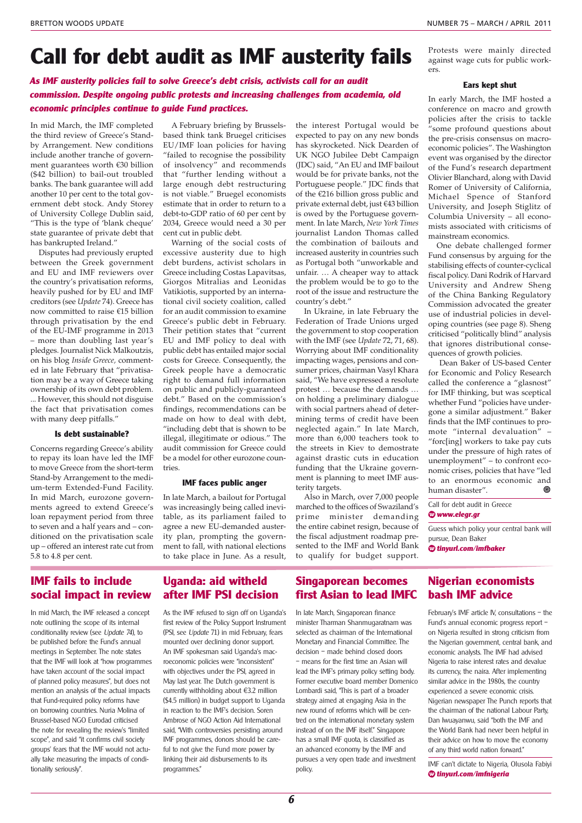## Call for debt audit as IMF austerity fails **Protests were mainly directed**

**As IMF austerity policies fail to solve Greece's debt crisis, activists call for an audit commission. Despite ongoing public protests and increasing challenges from academia, old economic principles continue to guide Fund practices.**

In mid March, the IMF completed the third review of Greece's Standby Arrangement. New conditions include another tranche of government guarantees worth €30 billion (\$42 billion) to bail-out troubled banks. The bank guarantee will add another 10 per cent to the total government debt stock. Andy Storey of University College Dublin said, "This is the type of 'blank cheque' state guarantee of private debt that has bankrupted Ireland."

Disputes had previously erupted between the Greek government and EU and IMF reviewers over the country's privatisation reforms, heavily pushed for by EU and IMF creditors (see *Update* 74). Greece has now committed to raise €15 billion through privatisation by the end of the EU-IMF programme in 2013 – more than doubling last year's pledges. Journalist Nick Malkoutzis, on his blog *Inside Greece,* commented in late February that "privatisation may be a way of Greece taking ownership of its own debt problem. ... However, this should not disguise the fact that privatisation comes with many deep pitfalls."

#### **Is debt sustainable?**

Concerns regarding Greece's ability to repay its loan have led the IMF to move Greece from the short-term Stand-by Arrangement to the medium-term Extended-Fund Facility. In mid March, eurozone governments agreed to extend Greece's loan repayment period from three to seven and a half years and – conditioned on the privatisation scale up – offered an interest rate cut from 5.8 to 4.8 per cent.

A February briefing by Brusselsbased think tank Bruegel criticises EU/IMF loan policies for having "failed to recognise the possibility of insolvency" and recommends that "further lending without a large enough debt restructuring is not viable." Bruegel economists estimate that in order to return to a debt-to-GDP ratio of 60 per cent by 2034, Greece would need a 30 per cent cut in public debt.

Warning of the social costs of excessive austerity due to high debt burdens, activist scholars in Greece including Costas Lapavitsas, Giorgos Mitralias and Leonidas Vatikiotis, supported by an international civil society coalition, called for an audit commission to examine Greece's public debt in February. Their petition states that "current EU and IMF policy to deal with public debt has entailed major social costs for Greece. Consequently, the Greek people have a democratic right to demand full information on public and publicly-guaranteed debt." Based on the commission's findings, recommendations can be made on how to deal with debt, "including debt that is shown to be illegal, illegitimate or odious." The audit commission for Greece could be a model for other eurozone countries.

#### **IMF faces public anger**

In late March, a bailout for Portugal was increasingly being called inevitable, as its parliament failed to agree a new EU-demanded austerity plan, prompting the government to fall, with national elections to take place in June. As a result, the interest Portugal would be expected to pay on any new bonds has skyrocketed. Nick Dearden of UK NGO Jubilee Debt Campaign (JDC) said, "An EU and IMF bailout would be for private banks, not the Portuguese people." JDC finds that of the €216 billion gross public and private external debt, just €43 billion is owed by the Portuguese government. In late March, *New York Times* journalist Landon Thomas called the combination of bailouts and increased austerity in countries such as Portugal both "unworkable and unfair. … A cheaper way to attack the problem would be to go to the root of the issue and restructure the country's debt."

In Ukraine, in late February the Federation of Trade Unions urged the government to stop cooperation with the IMF (see *Update* 72, 71, 68). Worrying about IMF conditionality impacting wages, pensions and consumer prices, chairman Vasyl Khara said, "We have expressed a resolute protest … because the demands … on holding a preliminary dialogue with social partners ahead of determining terms of credit have been neglected again." In late March, more than 6,000 teachers took to the streets in Kiev to demostrate against drastic cuts in education funding that the Ukraine government is planning to meet IMF austerity targets.

Also in March, over 7,000 people marched to the offices of Swaziland's prime minister demanding the entire cabinet resign, because of the fiscal adjustment roadmap presented to the IMF and World Bank to qualify for budget support.

against wage cuts for public workers.

#### **Ears kept shut**

In early March, the IMF hosted a conference on macro and growth policies after the crisis to tackle "some profound questions about the pre-crisis consensus on macroeconomic policies". The Washington event was organised by the director of the Fund's research department Olivier Blanchard, along with David Romer of University of California, Michael Spence of Stanford University, and Joseph Stiglitz of Columbia University – all economists associated with criticisms of mainstream economics.

One debate challenged former Fund consensus by arguing for the stabilising effects of counter-cyclical fiscal policy. Dani Rodrik of Harvard University and Andrew Sheng of the China Banking Regulatory Commission advocated the greater use of industrial policies in developing countries (see page 8). Sheng criticised "politically blind" analysis that ignores distributional consequences of growth policies.

Dean Baker of US-based Center for Economic and Policy Research called the conference a "glasnost" for IMF thinking, but was sceptical whether Fund "policies have undergone a similar adjustment." Baker finds that the IMF continues to promote "internal devaluation" – "forc[ing] workers to take pay cuts under the pressure of high rates of unemployment" – to confront economic crises, policies that have "led to an enormous economic and<br>human disaster" human disaster".

Call for debt audit in Greece

#### **◊ www.elegr.gr**

Guess which policy your central bank will pursue, Dean Baker

**◊ tinyurl.com/imfbaker**

### **IMF fails to include social impact in review**

In mid March, the IMF released a concept note outlining the scope of its internal conditionality review (see Update 74), to be published before the Fund's annual meetings in September. The note states that the IMF will look at "how programmes have taken account of the social impact of planned policy measures", but does not mention an analysis of the actual impacts that Fund-required policy reforms have on borrowing countries. Nuria Molina of Brussel-based NGO Eurodad criticised the note for revealing the review's "limited scope", and said "it confirms civil society groups' fears that the IMF would not actually take measuring the impacts of conditionality seriously".

### **Uganda: aid witheld after IMF PSI decision**

As the IMF refused to sign off on Uganda's first review of the Policy Support Instrument (PSI, see Update 71) in mid February, fears mounted over declining donor support. An IMF spokesman said Uganda's macroeconomic policies were "inconsistent" with objectives under the PSI, agreed in May last year. The Dutch government is currently withholding about €3.2 million (\$4.5 million) in budget support to Uganda in reaction to the IMF's decision. Soren Ambrose of NGO Action Aid International said, "With controversies persisting around IMF programmes, donors should be careful to not give the Fund more power by linking their aid disbursements to its programmes."

### **Singaporean becomes first Asian to lead IMFC**

In late March, Singaporean finance minister Tharman Shanmugaratnam was selected as chairman of the International Monetary and Financial Committee. The decision – made behind closed doors – means for the first time an Asian will lead the IMFs primary policy setting body. Former executive board member Domenico Lombardi said, "This is part of a broader strategy aimed at engaging Asia in the new round of reforms which will be centred on the international monetary system instead of on the IMF itself." Singapore has a small IMF quota, is classified as an advanced economy by the IMF and pursues a very open trade and investment policy.

**Nigerian economists bash IMF advice**

February's IMF article IV, consultations – the Fund's annual economic progress report – on Nigeria resulted in strong criticism from the Nigerian government, central bank, and economic analysts. The IMF had advised Nigeria to raise interest rates and devalue its currency, the naira. After implementing similar advice in the 1980s, the country experienced a severe economic crisis. Nigerian newspaper The Punch reports that the chairman of the national Labour Party, Dan Iwuayanwu, said "both the IMF and the World Bank had never been helpful in their advice on how to move the economy of any third world nation forward."

IMF can't dictate to Nigeria, Olusola Fabiyi **◊ tinyurl.com/imfnigeria**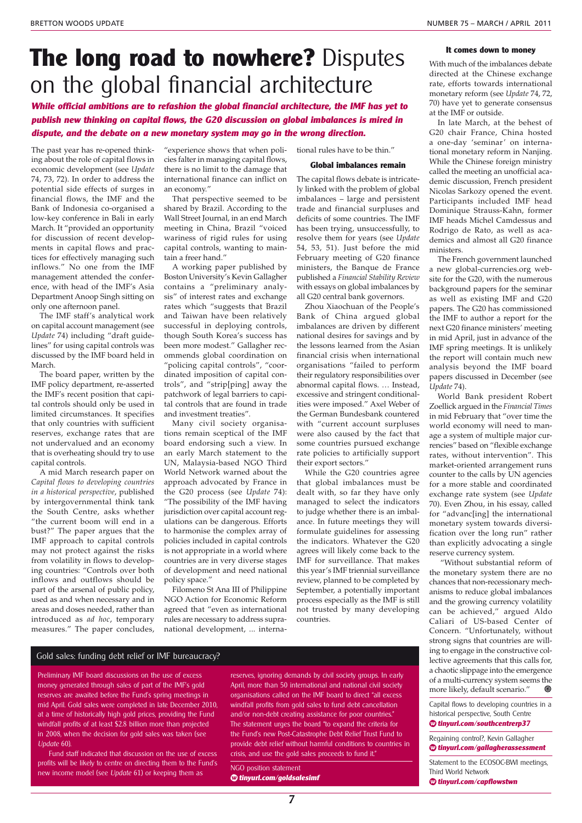#### **It comes down to money**

With much of the imbalances debate directed at the Chinese exchange rate, efforts towards international monetary reform (see *Update* 74, 72, 70) have yet to generate consensus at the IMF or outside.

In late March, at the behest of G20 chair France, China hosted a one-day 'seminar' on international monetary reform in Nanjing. While the Chinese foreign ministry called the meeting an unofficial academic discussion, French president Nicolas Sarkozy opened the event. Participants included IMF head Dominique Strauss-Kahn, former IMF heads Michel Camdessus and Rodrigo de Rato, as well as academics and almost all G20 finance ministers.

The French government launched a new global-currencies.org website for the G20, with the numerous background papers for the seminar as well as existing IMF and G20 papers. The G20 has commissioned the IMF to author a report for the next G20 finance ministers' meeting in mid April, just in advance of the IMF spring meetings. It is unlikely the report will contain much new analysis beyond the IMF board papers discussed in December (see *Update* 74).

World Bank president Robert Zoellick argued in the *Financial Times* in mid February that "over time the world economy will need to manage a system of multiple major currencies" based on "flexible exchange rates, without intervention". This market-oriented arrangement runs counter to the calls by UN agencies for a more stable and coordinated exchange rate system (see *Update* 70). Even Zhou, in his essay, called for "advanc[ing] the international monetary system towards diversification over the long run" rather than explicitly advocating a single reserve currency system.

"Without substantial reform of the monetary system there are no chances that non-recessionary mechanisms to reduce global imbalances and the growing currency volatility can be achieved," argued Aldo Caliari of US-based Center of Concern. "Unfortunately, without strong signs that countries are willing to engage in the constructive collective agreements that this calls for, a chaotic slippage into the emergence of a multi-currency system seems the more likely, default scenario."

Capital flows to developing countries in a historical perspective, South Centre

#### **◊ tinyurl.com/southcentrerp37**

Regaining control?, Kevin Gallagher **◊ tinyurl.com/gallagherassessment**

Statement to the ECOSOC-BWI meetings, Third World Network **◊ tinyurl.com/capflowstwn**

# **The long road to nowhere?** Disputes on the global financial architecture

**While official ambitions are to refashion the global financial architecture, the IMF has yet to publish new thinking on capital flows, the G20 discussion on global imbalances is mired in dispute, and the debate on a new monetary system may go in the wrong direction.**

The past year has re-opened thinking about the role of capital flows in economic development (see *Update* 74, 73, 72). In order to address the potential side effects of surges in financial flows, the IMF and the Bank of Indonesia co-organised a low-key conference in Bali in early March. It "provided an opportunity for discussion of recent developments in capital flows and practices for effectively managing such inflows." No one from the IMF management attended the conference, with head of the IMF's Asia Department Anoop Singh sitting on only one afternoon panel.

The IMF staff's analytical work on capital account management (see *Update* 74) including "draft guidelines" for using capital controls was discussed by the IMF board held in March.

The board paper, written by the IMF policy department, re-asserted the IMF's recent position that capital controls should only be used in limited circumstances. It specifies that only countries with sufficient reserves, exchange rates that are not undervalued and an economy that is overheating should try to use capital controls.

A mid March research paper on *Capital flows to developing countries in a historical perspective*, published by intergovernmental think tank the South Centre, asks whether "the current boom will end in a bust?" The paper argues that the IMF approach to capital controls may not protect against the risks from volatility in flows to developing countries: "Controls over both inflows and outflows should be part of the arsenal of public policy, used as and when necessary and in areas and doses needed, rather than introduced as *ad hoc*, temporary measures." The paper concludes,

"experience shows that when policies falter in managing capital flows, there is no limit to the damage that international finance can inflict on an economy."

That perspective seemed to be shared by Brazil. According to the Wall Street Journal, in an end March meeting in China, Brazil "voiced wariness of rigid rules for using capital controls, wanting to maintain a freer hand."

A working paper published by Boston University's Kevin Gallagher contains a "preliminary analysis" of interest rates and exchange rates which "suggests that Brazil and Taiwan have been relatively successful in deploying controls, though South Korea's success has been more modest." Gallagher recommends global coordination on "policing capital controls", "coordinated imposition of capital controls", and "strip[ping] away the patchwork of legal barriers to capital controls that are found in trade and investment treaties".

Many civil society organisations remain sceptical of the IMF board endorsing such a view. In an early March statement to the UN, Malaysia-based NGO Third World Network warned about the approach advocated by France in the G20 process (see *Update* 74): "The possibility of the IMF having jurisdiction over capital account regulations can be dangerous. Efforts to harmonise the complex array of policies included in capital controls is not appropriate in a world where countries are in very diverse stages of development and need national policy space."

Filomeno St Ana III of Philippine NGO Action for Economic Reform agreed that "even as international rules are necessary to address supranational development, ... interna-

## **Global imbalances remain**

tional rules have to be thin."

The capital flows debate is intricately linked with the problem of global imbalances – large and persistent trade and financial surpluses and deficits of some countries. The IMF has been trying, unsuccessfully, to resolve them for years (see *Update* 54, 53, 51). Just before the mid February meeting of G20 finance ministers, the Banque de France published a *Financial Stability Review* with essays on global imbalances by all G20 central bank governors.

Zhou Xiaochuan of the People's Bank of China argued global imbalances are driven by different national desires for savings and by the lessons learned from the Asian financial crisis when international organisations "failed to perform their regulatory responsibilities over abnormal capital flows. … Instead, excessive and stringent conditionalities were imposed." Axel Weber of the German Bundesbank countered with "current account surpluses were also caused by the fact that some countries pursued exchange rate policies to artificially support their export sectors."

While the G20 countries agree that global imbalances must be dealt with, so far they have only managed to select the indicators to judge whether there is an imbalance. In future meetings they will formulate guidelines for assessing the indicators. Whatever the G20 agrees will likely come back to the IMF for surveillance. That makes this year's IMF triennial surveillance review, planned to be completed by September, a potentially important process especially as the IMF is still not trusted by many developing countries.

#### Gold sales: funding debt relief or IMF bureaucracy?

Preliminary IMF board discussions on the use of excess money generated through sales of part of the IMF's gold reserves are awaited before the Fund's spring meetings in mid April. Gold sales were completed in late December 2010, at a time of historically high gold prices, providing the Fund windfall profits of at least \$2.8 billion more than projected in 2008, when the decision for gold sales was taken (see Update 60).

Fund staff indicated that discussion on the use of excess profits will be likely to centre on directing them to the Fund's new income model (see Update 61) or keeping them as

reserves, ignoring demands by civil society groups. In early April, more than 50 international and national civil society organisations called on the IMF board to direct "all excess windfall profits from gold sales to fund debt cancellation and/or non-debt creating assistance for poor countries." The statement urges the board "to expand the criteria for the Fund's new Post-Catastrophe Debt Relief Trust Fund to provide debt relief without harmful conditions to countries in crisis, and use the gold sales proceeds to fund it"

NGO position statement

**◊ tinyurl.com/goldsalesimf**